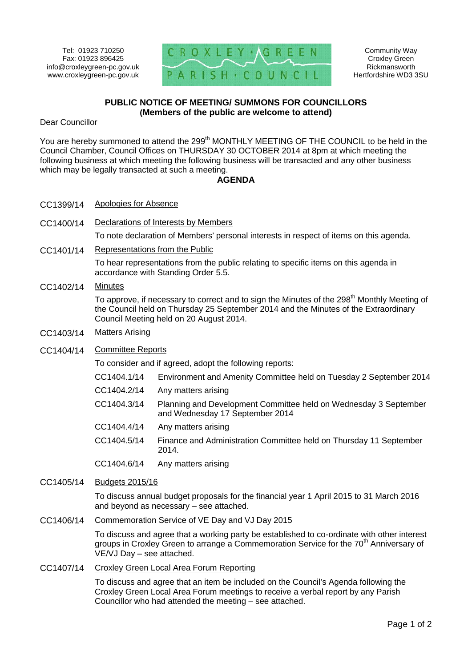

Community Way Croxley Green Rickmansworth Hertfordshire WD3 3SU

## **PUBLIC NOTICE OF MEETING/ SUMMONS FOR COUNCILLORS (Members of the public are welcome to attend)**

Dear Councillor

You are hereby summoned to attend the 299<sup>th</sup> MONTHLY MEETING OF THE COUNCIL to be held in the Council Chamber, Council Offices on THURSDAY 30 OCTOBER 2014 at 8pm at which meeting the following business at which meeting the following business will be transacted and any other business which may be legally transacted at such a meeting.

## **AGENDA**

- CC1399/14 Apologies for Absence
- CC1400/14 Declarations of Interests by Members

To note declaration of Members' personal interests in respect of items on this agenda.

CC1401/14 Representations from the Public

To hear representations from the public relating to specific items on this agenda in accordance with Standing Order 5.5.

## CC1402/14 Minutes

To approve, if necessary to correct and to sign the Minutes of the 298<sup>th</sup> Monthly Meeting of the Council held on Thursday 25 September 2014 and the Minutes of the Extraordinary Council Meeting held on 20 August 2014.

- CC1403/14 Matters Arising
- CC1404/14 Committee Reports

To consider and if agreed, adopt the following reports:

- CC1404.1/14 Environment and Amenity Committee held on Tuesday 2 September 2014
- CC1404.2/14 Any matters arising
- CC1404.3/14 Planning and Development Committee held on Wednesday 3 September and Wednesday 17 September 2014
- CC1404.4/14 Any matters arising
- CC1404.5/14 Finance and Administration Committee held on Thursday 11 September 2014.

CC1404.6/14 Any matters arising

CC1405/14 Budgets 2015/16

To discuss annual budget proposals for the financial year 1 April 2015 to 31 March 2016 and beyond as necessary – see attached.

CC1406/14 Commemoration Service of VE Day and VJ Day 2015

To discuss and agree that a working party be established to co-ordinate with other interest groups in Croxley Green to arrange a Commemoration Service for the 70<sup>th</sup> Anniversary of VE/VJ Day – see attached.

## CC1407/14 Croxley Green Local Area Forum Reporting

To discuss and agree that an item be included on the Council's Agenda following the Croxley Green Local Area Forum meetings to receive a verbal report by any Parish Councillor who had attended the meeting – see attached.